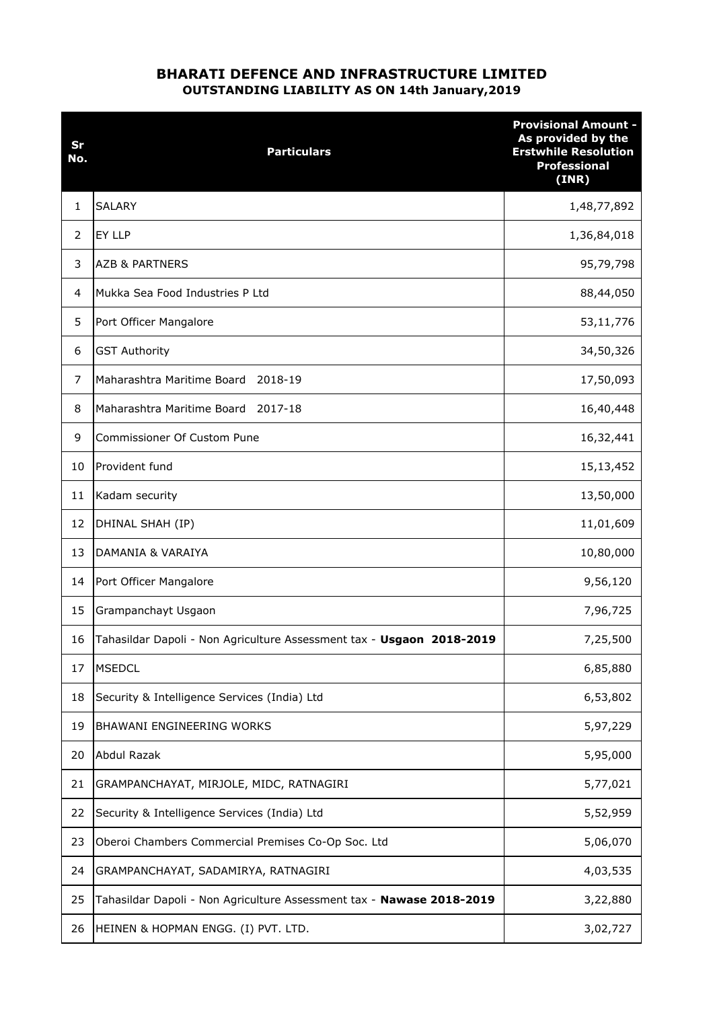## BHARATI DEFENCE AND INFRASTRUCTURE LIMITED OUTSTANDING LIABILITY AS ON 14th January,2019

| Sr<br>No.      | <b>Particulars</b>                                                    | <b>Provisional Amount -</b><br>As provided by the<br><b>Erstwhile Resolution</b><br><b>Professional</b><br>(INR) |
|----------------|-----------------------------------------------------------------------|------------------------------------------------------------------------------------------------------------------|
| 1              | <b>SALARY</b>                                                         | 1,48,77,892                                                                                                      |
| $\overline{2}$ | EY LLP                                                                | 1,36,84,018                                                                                                      |
| 3              | <b>AZB &amp; PARTNERS</b>                                             | 95,79,798                                                                                                        |
| 4              | Mukka Sea Food Industries P Ltd                                       | 88,44,050                                                                                                        |
| 5              | Port Officer Mangalore                                                | 53,11,776                                                                                                        |
| 6              | <b>GST Authority</b>                                                  | 34,50,326                                                                                                        |
| 7              | Maharashtra Maritime Board<br>2018-19                                 | 17,50,093                                                                                                        |
| 8              | Maharashtra Maritime Board<br>2017-18                                 | 16,40,448                                                                                                        |
| 9              | Commissioner Of Custom Pune                                           | 16,32,441                                                                                                        |
| 10             | Provident fund                                                        | 15,13,452                                                                                                        |
| 11             | Kadam security                                                        | 13,50,000                                                                                                        |
| 12             | DHINAL SHAH (IP)                                                      | 11,01,609                                                                                                        |
| 13             | DAMANIA & VARAIYA                                                     | 10,80,000                                                                                                        |
| 14             | Port Officer Mangalore                                                | 9,56,120                                                                                                         |
| 15             | Grampanchayt Usgaon                                                   | 7,96,725                                                                                                         |
| 16             | Tahasildar Dapoli - Non Agriculture Assessment tax - Usgaon 2018-2019 | 7,25,500                                                                                                         |
| 17             | <b>MSEDCL</b>                                                         | 6,85,880                                                                                                         |
| 18             | Security & Intelligence Services (India) Ltd                          | 6,53,802                                                                                                         |
| 19             | BHAWANI ENGINEERING WORKS                                             | 5,97,229                                                                                                         |
| 20             | Abdul Razak                                                           | 5,95,000                                                                                                         |
| 21             | GRAMPANCHAYAT, MIRJOLE, MIDC, RATNAGIRI                               | 5,77,021                                                                                                         |
| 22             | Security & Intelligence Services (India) Ltd                          | 5,52,959                                                                                                         |
| 23             | Oberoi Chambers Commercial Premises Co-Op Soc. Ltd                    | 5,06,070                                                                                                         |
| 24             | GRAMPANCHAYAT, SADAMIRYA, RATNAGIRI                                   | 4,03,535                                                                                                         |
| 25             | Tahasildar Dapoli - Non Agriculture Assessment tax - Nawase 2018-2019 | 3,22,880                                                                                                         |
| 26             | HEINEN & HOPMAN ENGG. (I) PVT. LTD.                                   | 3,02,727                                                                                                         |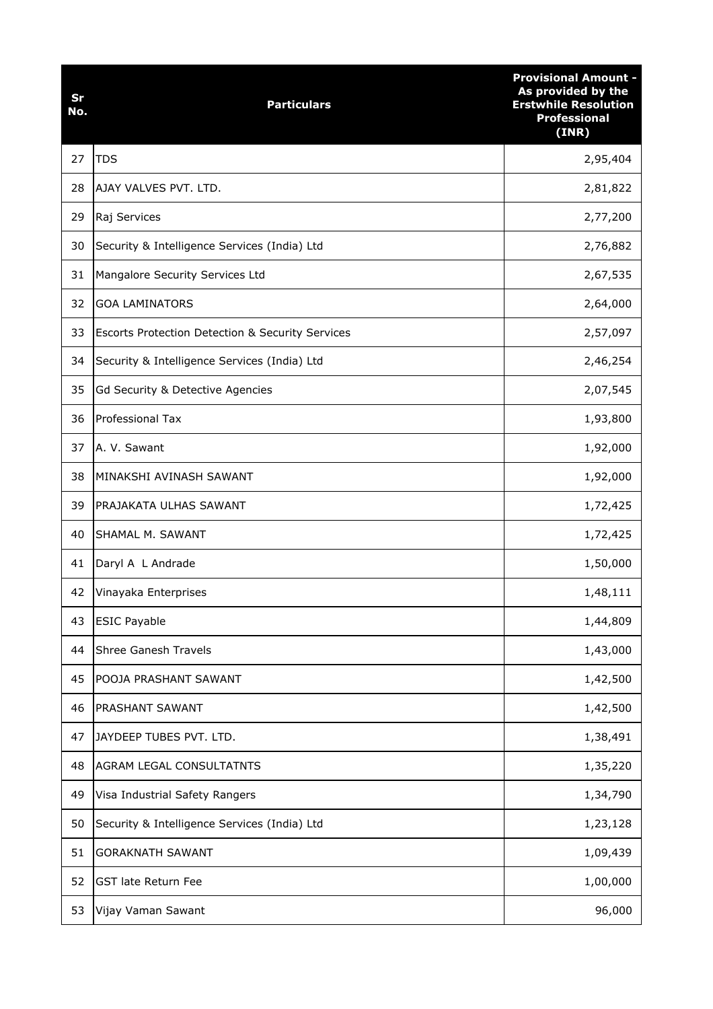| Sr<br>No. | <b>Particulars</b>                                          | <b>Provisional Amount -</b><br>As provided by the<br><b>Erstwhile Resolution</b><br><b>Professional</b><br>(INR) |
|-----------|-------------------------------------------------------------|------------------------------------------------------------------------------------------------------------------|
| 27        | <b>TDS</b>                                                  | 2,95,404                                                                                                         |
| 28        | AJAY VALVES PVT. LTD.                                       | 2,81,822                                                                                                         |
| 29        | Raj Services                                                | 2,77,200                                                                                                         |
| 30        | Security & Intelligence Services (India) Ltd                | 2,76,882                                                                                                         |
| 31        | Mangalore Security Services Ltd                             | 2,67,535                                                                                                         |
| 32        | <b>GOA LAMINATORS</b>                                       | 2,64,000                                                                                                         |
| 33        | <b>Escorts Protection Detection &amp; Security Services</b> | 2,57,097                                                                                                         |
| 34        | Security & Intelligence Services (India) Ltd                | 2,46,254                                                                                                         |
| 35        | Gd Security & Detective Agencies                            | 2,07,545                                                                                                         |
| 36        | Professional Tax                                            | 1,93,800                                                                                                         |
| 37        | A. V. Sawant                                                | 1,92,000                                                                                                         |
| 38        | MINAKSHI AVINASH SAWANT                                     | 1,92,000                                                                                                         |
| 39        | PRAJAKATA ULHAS SAWANT                                      | 1,72,425                                                                                                         |
| 40        | SHAMAL M. SAWANT                                            | 1,72,425                                                                                                         |
| 41        | Daryl A L Andrade                                           | 1,50,000                                                                                                         |
| 42        | Vinayaka Enterprises                                        | 1,48,111                                                                                                         |
| 43        | <b>ESIC Payable</b>                                         | 1,44,809                                                                                                         |
| 44        | <b>Shree Ganesh Travels</b>                                 | 1,43,000                                                                                                         |
| 45        | POOJA PRASHANT SAWANT                                       | 1,42,500                                                                                                         |
| 46        | PRASHANT SAWANT                                             | 1,42,500                                                                                                         |
| 47        | JAYDEEP TUBES PVT. LTD.                                     | 1,38,491                                                                                                         |
| 48        | AGRAM LEGAL CONSULTATNTS                                    | 1,35,220                                                                                                         |
| 49        | Visa Industrial Safety Rangers                              | 1,34,790                                                                                                         |
| 50        | Security & Intelligence Services (India) Ltd                | 1,23,128                                                                                                         |
| 51        | <b>GORAKNATH SAWANT</b>                                     | 1,09,439                                                                                                         |
| 52        | <b>GST late Return Fee</b>                                  | 1,00,000                                                                                                         |
| 53        | Vijay Vaman Sawant                                          | 96,000                                                                                                           |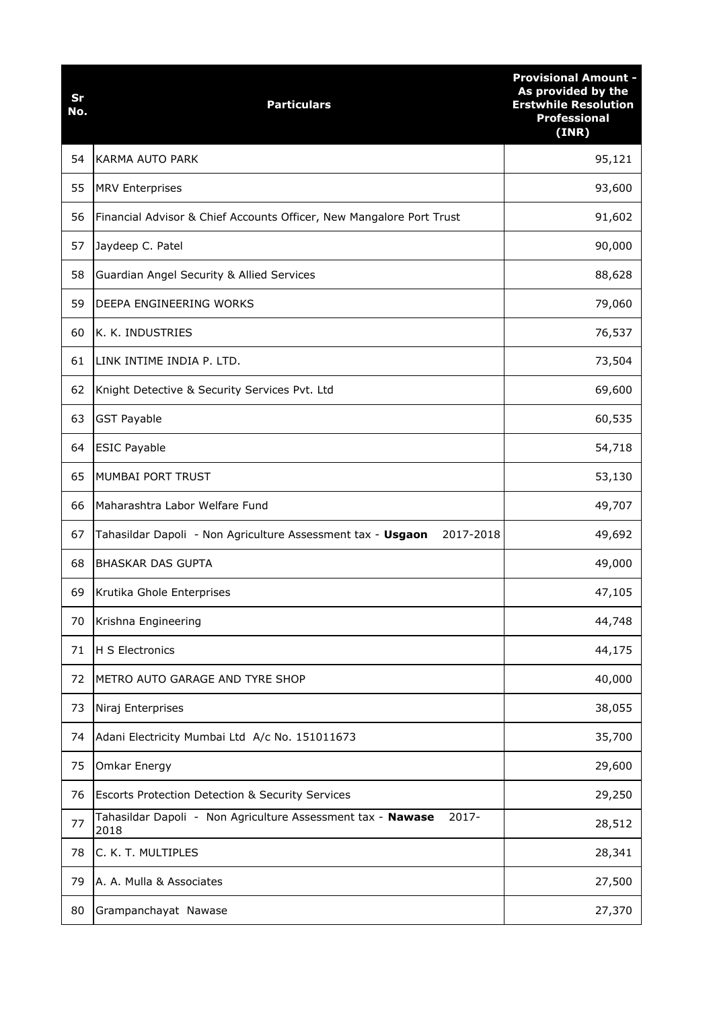| Sr<br>No. | <b>Particulars</b>                                                           | <b>Provisional Amount -</b><br>As provided by the<br><b>Erstwhile Resolution</b><br><b>Professional</b><br>(INR) |
|-----------|------------------------------------------------------------------------------|------------------------------------------------------------------------------------------------------------------|
| 54        | <b>KARMA AUTO PARK</b>                                                       | 95,121                                                                                                           |
| 55        | <b>MRV Enterprises</b>                                                       | 93,600                                                                                                           |
| 56        | Financial Advisor & Chief Accounts Officer, New Mangalore Port Trust         | 91,602                                                                                                           |
| 57        | Jaydeep C. Patel                                                             | 90,000                                                                                                           |
| 58        | Guardian Angel Security & Allied Services                                    | 88,628                                                                                                           |
| 59        | DEEPA ENGINEERING WORKS                                                      | 79,060                                                                                                           |
| 60        | K. K. INDUSTRIES                                                             | 76,537                                                                                                           |
| 61        | LINK INTIME INDIA P. LTD.                                                    | 73,504                                                                                                           |
| 62        | Knight Detective & Security Services Pvt. Ltd                                | 69,600                                                                                                           |
| 63        | <b>GST Payable</b>                                                           | 60,535                                                                                                           |
| 64        | <b>ESIC Payable</b>                                                          | 54,718                                                                                                           |
| 65        | MUMBAI PORT TRUST                                                            | 53,130                                                                                                           |
| 66        | Maharashtra Labor Welfare Fund                                               | 49,707                                                                                                           |
| 67        | 2017-2018<br>Tahasildar Dapoli - Non Agriculture Assessment tax - Usgaon     | 49,692                                                                                                           |
| 68        | <b>BHASKAR DAS GUPTA</b>                                                     | 49,000                                                                                                           |
| 69        | Krutika Ghole Enterprises                                                    | 47,105                                                                                                           |
| 70        | Krishna Engineering                                                          | 44,748                                                                                                           |
| 71        | H S Electronics                                                              | 44,175                                                                                                           |
| 72        | METRO AUTO GARAGE AND TYRE SHOP                                              | 40,000                                                                                                           |
| 73        | Niraj Enterprises                                                            | 38,055                                                                                                           |
| 74        | Adani Electricity Mumbai Ltd A/c No. 151011673                               | 35,700                                                                                                           |
| 75        | Omkar Energy                                                                 | 29,600                                                                                                           |
| 76        | <b>Escorts Protection Detection &amp; Security Services</b>                  | 29,250                                                                                                           |
| 77        | 2017-<br>Tahasildar Dapoli - Non Agriculture Assessment tax - Nawase<br>2018 | 28,512                                                                                                           |
| 78        | C. K. T. MULTIPLES                                                           | 28,341                                                                                                           |
| 79        | A. A. Mulla & Associates                                                     | 27,500                                                                                                           |
| 80        | Grampanchayat Nawase                                                         | 27,370                                                                                                           |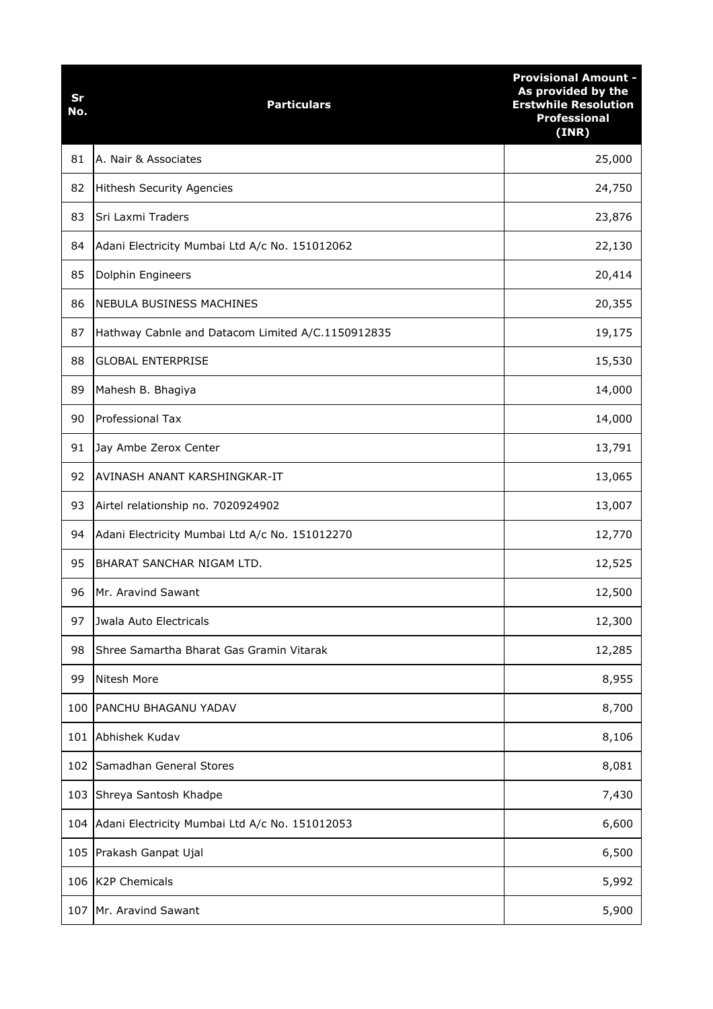| Sr<br>No. | <b>Particulars</b>                                | <b>Provisional Amount -</b><br>As provided by the<br><b>Erstwhile Resolution</b><br><b>Professional</b><br>(INR) |
|-----------|---------------------------------------------------|------------------------------------------------------------------------------------------------------------------|
| 81        | A. Nair & Associates                              | 25,000                                                                                                           |
| 82        | <b>Hithesh Security Agencies</b>                  | 24,750                                                                                                           |
| 83        | Sri Laxmi Traders                                 | 23,876                                                                                                           |
| 84        | Adani Electricity Mumbai Ltd A/c No. 151012062    | 22,130                                                                                                           |
| 85        | Dolphin Engineers                                 | 20,414                                                                                                           |
| 86        | <b>NEBULA BUSINESS MACHINES</b>                   | 20,355                                                                                                           |
| 87        | Hathway Cabnle and Datacom Limited A/C.1150912835 | 19,175                                                                                                           |
| 88        | <b>GLOBAL ENTERPRISE</b>                          | 15,530                                                                                                           |
| 89        | Mahesh B. Bhagiya                                 | 14,000                                                                                                           |
| 90        | <b>Professional Tax</b>                           | 14,000                                                                                                           |
| 91        | Jay Ambe Zerox Center                             | 13,791                                                                                                           |
| 92        | AVINASH ANANT KARSHINGKAR-IT                      | 13,065                                                                                                           |
| 93        | Airtel relationship no. 7020924902                | 13,007                                                                                                           |
| 94        | Adani Electricity Mumbai Ltd A/c No. 151012270    | 12,770                                                                                                           |
| 95        | BHARAT SANCHAR NIGAM LTD.                         | 12,525                                                                                                           |
| 96        | Mr. Aravind Sawant                                | 12,500                                                                                                           |
| 97        | Jwala Auto Electricals                            | 12,300                                                                                                           |
| 98        | Shree Samartha Bharat Gas Gramin Vitarak          | 12,285                                                                                                           |
| 99        | Nitesh More                                       | 8,955                                                                                                            |
| 100       | PANCHU BHAGANU YADAV                              | 8,700                                                                                                            |
| 101       | Abhishek Kudav                                    | 8,106                                                                                                            |
| 102       | Samadhan General Stores                           | 8,081                                                                                                            |
| 103       | Shreya Santosh Khadpe                             | 7,430                                                                                                            |
| 104       | Adani Electricity Mumbai Ltd A/c No. 151012053    | 6,600                                                                                                            |
| 105       | Prakash Ganpat Ujal                               | 6,500                                                                                                            |
| 106       | <b>K2P Chemicals</b>                              | 5,992                                                                                                            |
| 107       | Mr. Aravind Sawant                                | 5,900                                                                                                            |